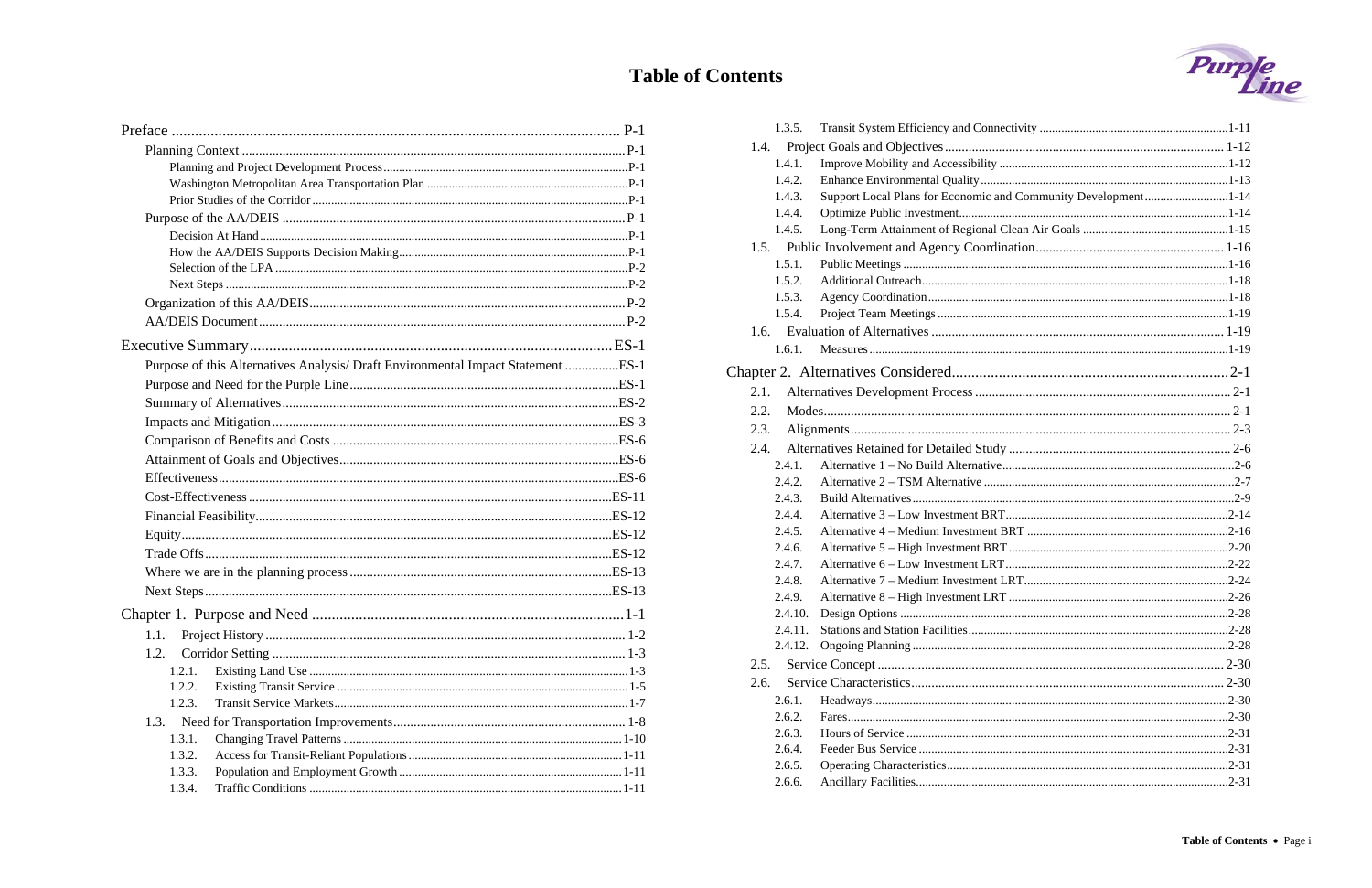# **Table of Contents**

|        | Purpose of this Alternatives Analysis/ Draft Environmental Impact Statement ES-1 |          |
|--------|----------------------------------------------------------------------------------|----------|
|        |                                                                                  |          |
|        |                                                                                  |          |
|        |                                                                                  |          |
|        |                                                                                  |          |
|        |                                                                                  |          |
|        |                                                                                  |          |
|        |                                                                                  |          |
|        |                                                                                  |          |
|        |                                                                                  |          |
|        |                                                                                  |          |
|        |                                                                                  |          |
|        |                                                                                  |          |
|        |                                                                                  |          |
| 1.1.   |                                                                                  |          |
| 1.2.   |                                                                                  |          |
| 1.2.1. |                                                                                  |          |
| 1.2.2. |                                                                                  |          |
| 1.2.3. |                                                                                  |          |
| 1.3.   |                                                                                  |          |
| 1.3.1. |                                                                                  |          |
| 1.3.2. |                                                                                  |          |
| 1.3.3. |                                                                                  |          |
| 134    | Traffic Conditions                                                               | $1 - 11$ |

| 1.3.5.  |                                                                |  |
|---------|----------------------------------------------------------------|--|
| 1.4.    |                                                                |  |
| 1.4.1.  |                                                                |  |
| 1.4.2.  |                                                                |  |
| 1.4.3.  | Support Local Plans for Economic and Community Development1-14 |  |
| 1.4.4.  |                                                                |  |
| 1.4.5.  |                                                                |  |
| 1.5.    |                                                                |  |
| 1.5.1.  |                                                                |  |
| 1.5.2.  |                                                                |  |
| 1.5.3.  |                                                                |  |
| 1.5.4.  |                                                                |  |
|         |                                                                |  |
| 1.6.1.  |                                                                |  |
|         |                                                                |  |
| 2.1.    |                                                                |  |
|         |                                                                |  |
| 2.2.    |                                                                |  |
| 2.3.    |                                                                |  |
| 2.4.    |                                                                |  |
| 2.4.1.  |                                                                |  |
| 2.4.2.  |                                                                |  |
| 2.4.3.  |                                                                |  |
| 2.4.4.  |                                                                |  |
| 2.4.5.  |                                                                |  |
| 2.4.6.  |                                                                |  |
| 2.4.7.  |                                                                |  |
| 2.4.8.  |                                                                |  |
| 2.4.9.  |                                                                |  |
| 2.4.10. |                                                                |  |
| 2.4.11. |                                                                |  |
| 2.4.12. |                                                                |  |
| 2.5.    |                                                                |  |
| 2.6.    |                                                                |  |
| 2.6.1.  |                                                                |  |
| 2.6.2.  |                                                                |  |
| 2.6.3.  |                                                                |  |
| 2.6.4.  |                                                                |  |
| 2.6.5.  |                                                                |  |
| 2.6.6.  |                                                                |  |

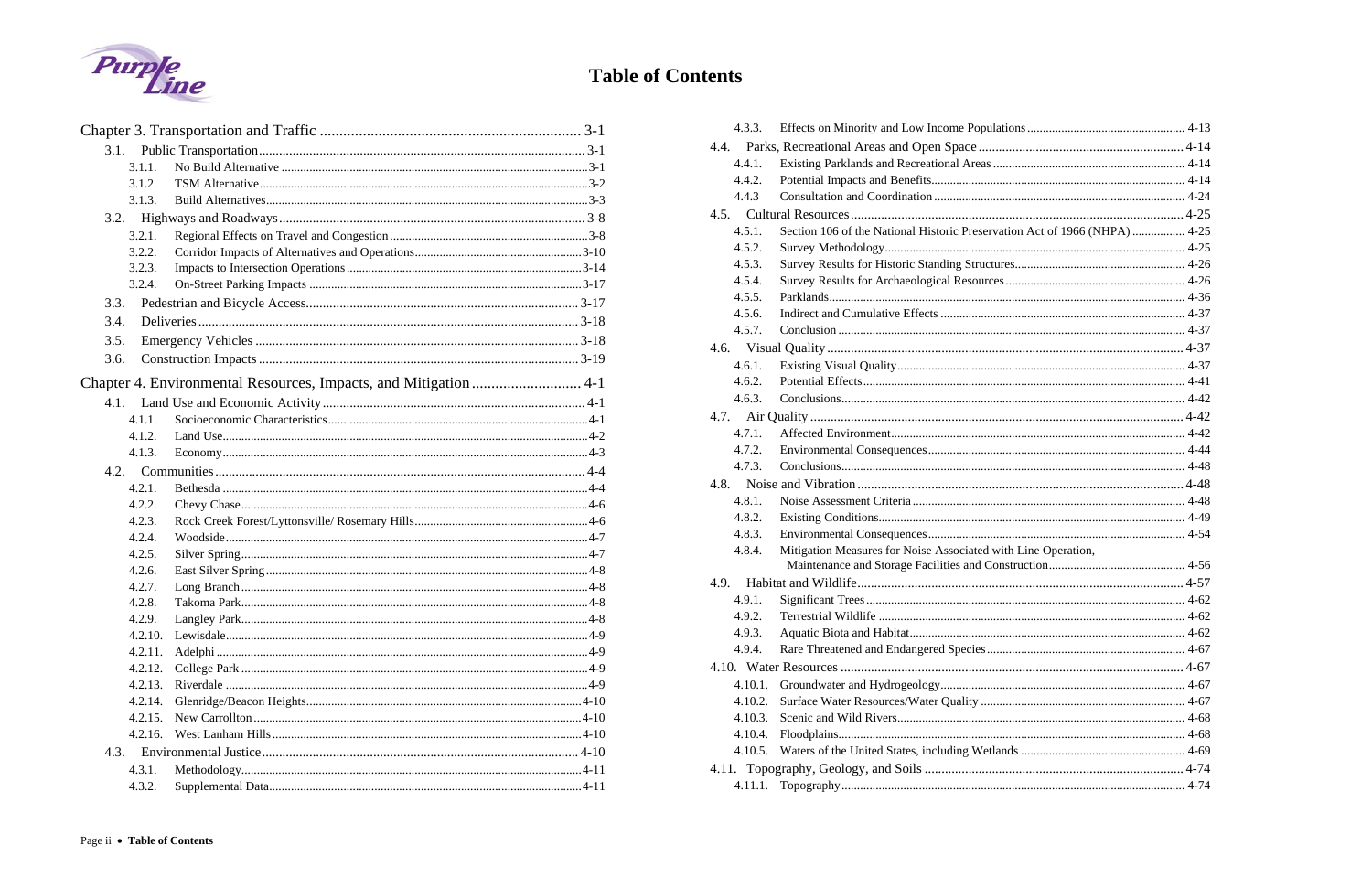

# **Table of Contents**

| 3.1.    |  |
|---------|--|
| 3.1.1.  |  |
| 3.1.2.  |  |
| 3.1.3.  |  |
| 3.2.    |  |
| 3.2.1.  |  |
| 3.2.2.  |  |
| 3.2.3.  |  |
| 3.2.4.  |  |
| 3.3.    |  |
| 3.4.    |  |
| 3.5.    |  |
| 3.6.    |  |
|         |  |
|         |  |
| 4.1.1.  |  |
| 4.1.2.  |  |
| 4.1.3.  |  |
| 4.2.    |  |
| 4.2.1.  |  |
| 4.2.2.  |  |
| 4.2.3.  |  |
| 4.2.4.  |  |
| 4.2.5.  |  |
| 4.2.6.  |  |
| 4.2.7.  |  |
| 4.2.8.  |  |
| 4.2.9.  |  |
| 4.2.10. |  |
| 4.2.11. |  |
| 4.2.12. |  |
| 4.2.13. |  |
| 4.2.14. |  |
| 4.2.15. |  |
| 4.2.16. |  |
| 4.3.    |  |
| 4.3.1.  |  |
| 4.3.2.  |  |

| 4.3.3.  |                                                                            |  |
|---------|----------------------------------------------------------------------------|--|
| 4.4.    |                                                                            |  |
| 4.4.1.  |                                                                            |  |
| 4.4.2.  |                                                                            |  |
| 4.4.3   |                                                                            |  |
|         |                                                                            |  |
| 4.5.1.  | Section 106 of the National Historic Preservation Act of 1966 (NHPA)  4-25 |  |
| 4.5.2.  |                                                                            |  |
| 4.5.3.  |                                                                            |  |
| 4.5.4.  |                                                                            |  |
| 4.5.5.  |                                                                            |  |
| 4.5.6.  |                                                                            |  |
| 4.5.7.  |                                                                            |  |
|         |                                                                            |  |
| 4.6.1.  |                                                                            |  |
| 4.6.2.  |                                                                            |  |
| 4.6.3.  |                                                                            |  |
|         |                                                                            |  |
| 4.7.1.  |                                                                            |  |
| 4.7.2.  |                                                                            |  |
| 4.7.3.  |                                                                            |  |
| 4.8.    |                                                                            |  |
| 4.8.1.  |                                                                            |  |
| 4.8.2.  |                                                                            |  |
| 4.8.3.  |                                                                            |  |
| 4.8.4.  | Mitigation Measures for Noise Associated with Line Operation,              |  |
|         |                                                                            |  |
| 4.9.    |                                                                            |  |
| 4.9.1.  |                                                                            |  |
| 4.9.2.  |                                                                            |  |
| 4.9.3.  |                                                                            |  |
| 4.9.4.  |                                                                            |  |
|         |                                                                            |  |
| 4.10.1. |                                                                            |  |
| 4.10.2. |                                                                            |  |
| 4.10.3. |                                                                            |  |
| 4.10.4. |                                                                            |  |
| 4.10.5. |                                                                            |  |
|         |                                                                            |  |
| 4.11.1. |                                                                            |  |
|         |                                                                            |  |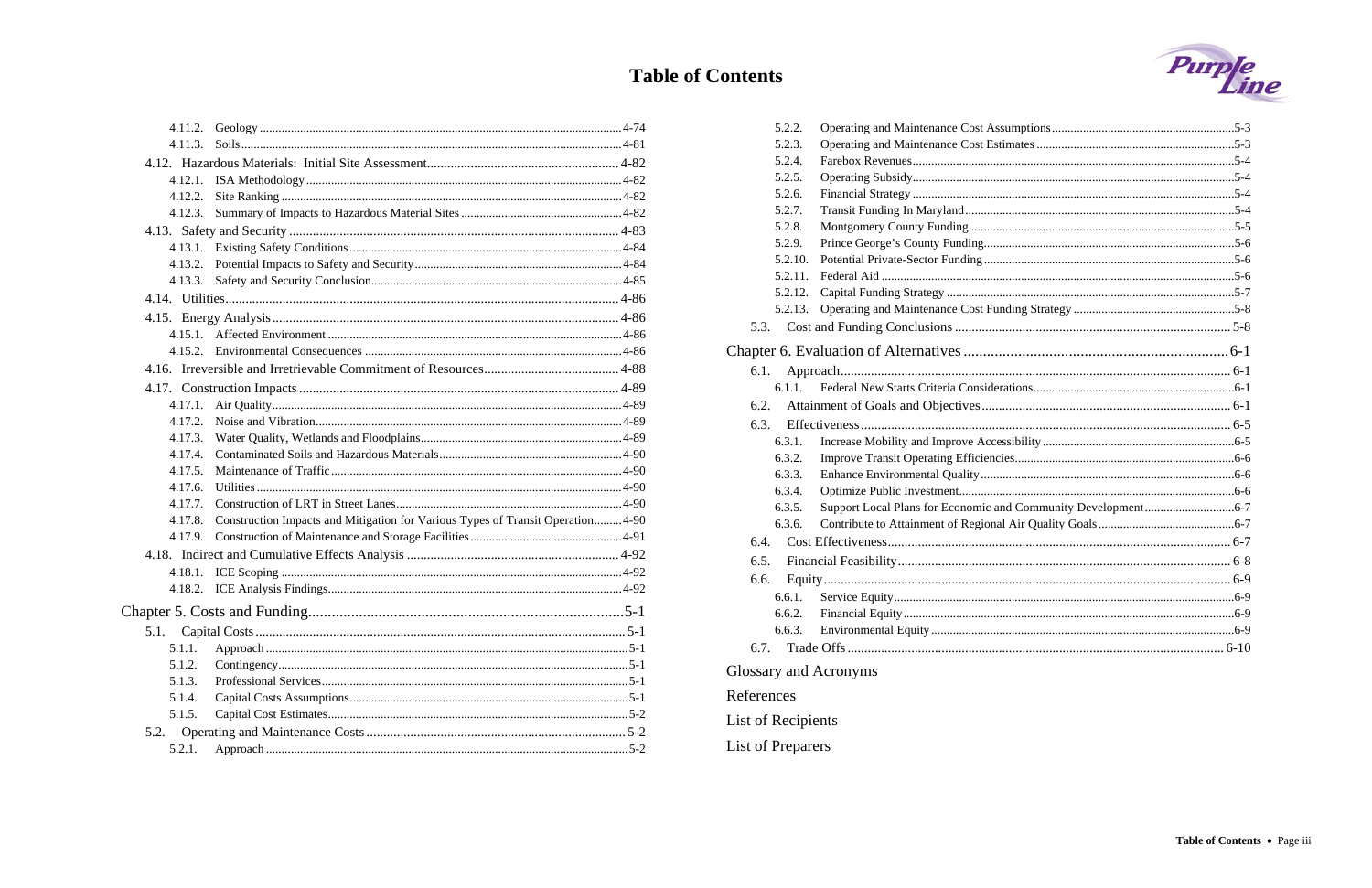# **Table of Contents**

| 4.11.3. |                                                                                 |
|---------|---------------------------------------------------------------------------------|
|         |                                                                                 |
|         |                                                                                 |
| 4.12.2. |                                                                                 |
| 4.12.3. |                                                                                 |
|         |                                                                                 |
|         |                                                                                 |
| 4.13.2. |                                                                                 |
|         |                                                                                 |
|         |                                                                                 |
|         |                                                                                 |
|         |                                                                                 |
|         |                                                                                 |
|         |                                                                                 |
|         |                                                                                 |
| 4.17.1. |                                                                                 |
| 4.17.2. |                                                                                 |
| 4.17.3. |                                                                                 |
| 4.17.4. |                                                                                 |
| 4.17.5. |                                                                                 |
| 4.17.6. |                                                                                 |
| 4.17.7. |                                                                                 |
| 4.17.8. | Construction Impacts and Mitigation for Various Types of Transit Operation 4-90 |
| 4.17.9. |                                                                                 |
|         |                                                                                 |
|         |                                                                                 |
|         |                                                                                 |
|         |                                                                                 |
| 5.1.    |                                                                                 |
| 5.1.1.  |                                                                                 |
| 5.1.2.  |                                                                                 |
| 5.1.3.  |                                                                                 |
| 5.1.4.  |                                                                                 |
| 5.1.5.  |                                                                                 |
| 5.2.    |                                                                                 |
| 5.2.1.  |                                                                                 |

| 5.2.2.                |  |
|-----------------------|--|
| 5.2.3.                |  |
| 5.2.4.                |  |
| 5.2.5.                |  |
| 5.2.6.                |  |
| 5.2.7.                |  |
| 5.2.8.                |  |
| 5.2.9.                |  |
| 5.2.10.               |  |
| 5.2.11.               |  |
| 5.2.12.               |  |
| 5.2.13.               |  |
| 5.3.                  |  |
|                       |  |
| 6.1.                  |  |
| 6.1.1.                |  |
| 6.2.                  |  |
| 6.3.                  |  |
| 6.3.1.                |  |
| 6.3.2.                |  |
| 6.3.3.                |  |
| 6.3.4.                |  |
| 6.3.5.                |  |
| 6.3.6.                |  |
| 6.4.                  |  |
| 6.5.                  |  |
| 6.6.                  |  |
| 6.6.1.                |  |
| 6.6.2.                |  |
| 6.6.3.                |  |
| 6.7.                  |  |
|                       |  |
| Glossary and Acronyms |  |
| References            |  |
| List of Recipients    |  |
| List of Preparers     |  |

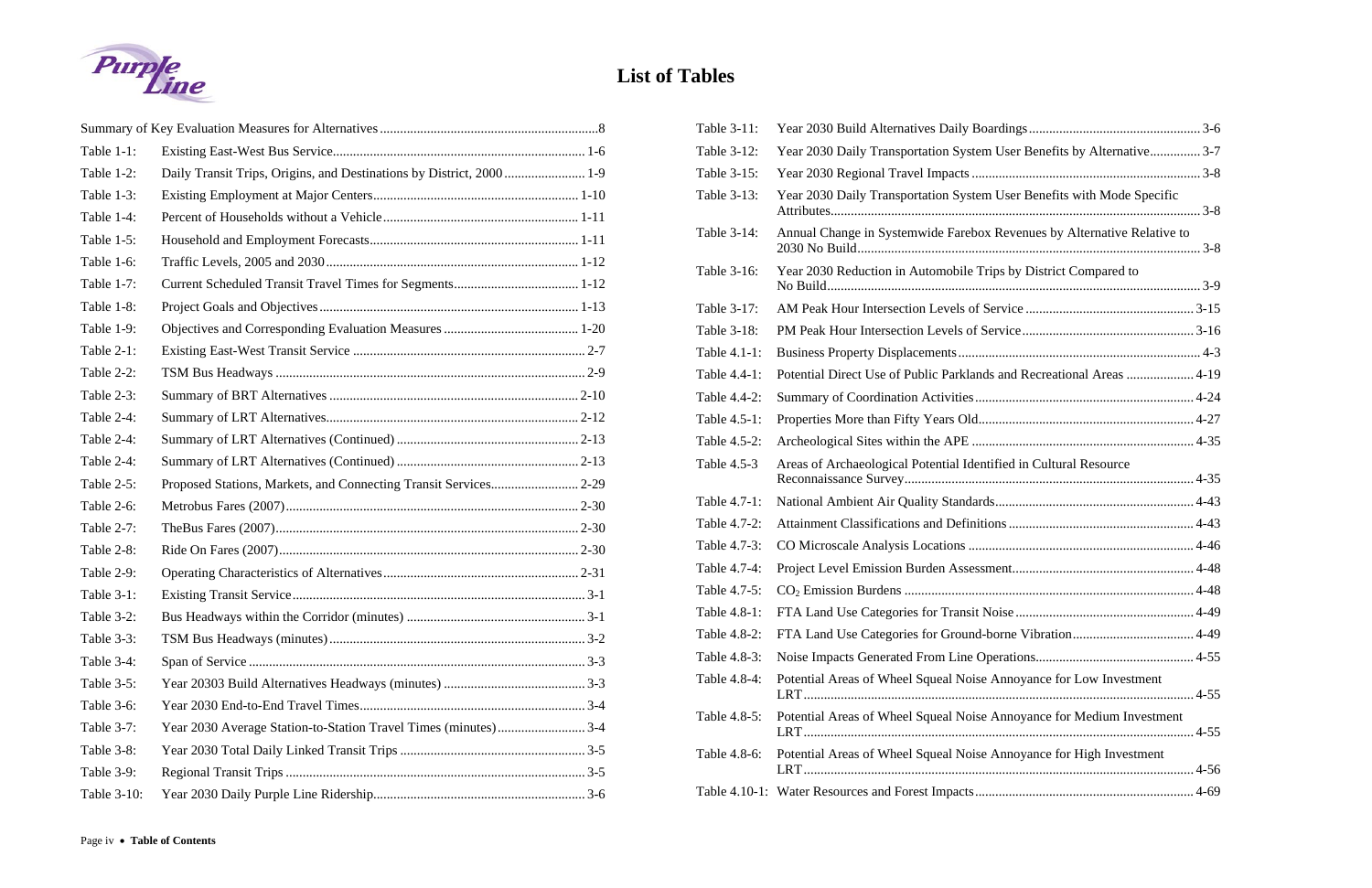

### **List of Tables**

| Table 1-1:    |                                                                       |  |  |
|---------------|-----------------------------------------------------------------------|--|--|
| Table 1-2:    | Daily Transit Trips, Origins, and Destinations by District, 2000  1-9 |  |  |
| Table 1-3:    |                                                                       |  |  |
| Table 1-4:    |                                                                       |  |  |
| Table 1-5:    |                                                                       |  |  |
| Table 1-6:    |                                                                       |  |  |
| Table 1-7:    |                                                                       |  |  |
| Table 1-8:    |                                                                       |  |  |
| Table 1-9:    |                                                                       |  |  |
| Table 2-1:    |                                                                       |  |  |
| Table 2-2:    |                                                                       |  |  |
| Table 2-3:    |                                                                       |  |  |
| Table 2-4:    |                                                                       |  |  |
| Table $2-4$ : |                                                                       |  |  |
| Table 2-4:    |                                                                       |  |  |
| Table 2-5:    |                                                                       |  |  |
| Table 2-6:    |                                                                       |  |  |
| Table 2-7:    |                                                                       |  |  |
| Table 2-8:    |                                                                       |  |  |
| Table 2-9:    |                                                                       |  |  |
| Table 3-1:    |                                                                       |  |  |
| Table 3-2:    |                                                                       |  |  |
| Table 3-3:    |                                                                       |  |  |
| Table 3-4:    |                                                                       |  |  |
| Table 3-5:    |                                                                       |  |  |
| Table 3-6:    |                                                                       |  |  |
| Table 3-7:    |                                                                       |  |  |
| Table 3-8:    |                                                                       |  |  |
| Table 3-9:    |                                                                       |  |  |
| Table 3-10:   |                                                                       |  |  |

| Table 3-11:  |                                                                         |  |
|--------------|-------------------------------------------------------------------------|--|
| Table 3-12:  | Year 2030 Daily Transportation System User Benefits by Alternative 3-7  |  |
| Table 3-15:  |                                                                         |  |
| Table 3-13:  | Year 2030 Daily Transportation System User Benefits with Mode Specific  |  |
| Table 3-14:  | Annual Change in Systemwide Farebox Revenues by Alternative Relative to |  |
| Table 3-16:  | Year 2030 Reduction in Automobile Trips by District Compared to         |  |
| Table 3-17:  |                                                                         |  |
| Table 3-18:  |                                                                         |  |
| Table 4.1-1: |                                                                         |  |
| Table 4.4-1: | Potential Direct Use of Public Parklands and Recreational Areas  4-19   |  |
| Table 4.4-2: |                                                                         |  |
| Table 4.5-1: |                                                                         |  |
| Table 4.5-2: |                                                                         |  |
| Table 4.5-3  | Areas of Archaeological Potential Identified in Cultural Resource       |  |
| Table 4.7-1: |                                                                         |  |
| Table 4.7-2: |                                                                         |  |
| Table 4.7-3: |                                                                         |  |
| Table 4.7-4: |                                                                         |  |
| Table 4.7-5: |                                                                         |  |
| Table 4.8-1: |                                                                         |  |
| Table 4.8-2: |                                                                         |  |
| Table 4.8-3: |                                                                         |  |
| Table 4.8-4: | Potential Areas of Wheel Squeal Noise Annoyance for Low Investment      |  |
| Table 4.8-5: | Potential Areas of Wheel Squeal Noise Annoyance for Medium Investment   |  |
| Table 4.8-6: | Potential Areas of Wheel Squeal Noise Annoyance for High Investment     |  |
|              |                                                                         |  |
|              |                                                                         |  |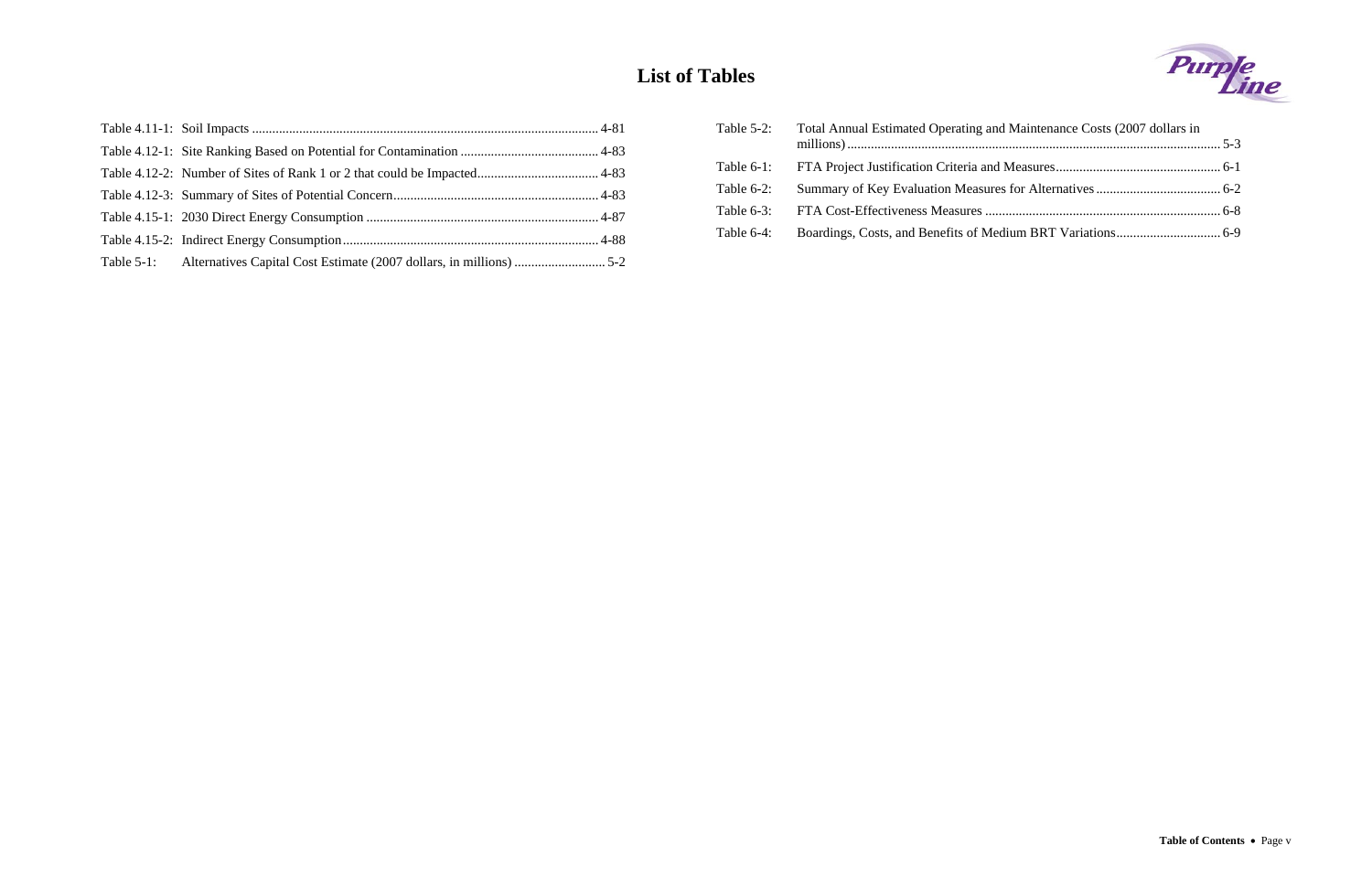#### **List of Tables**

| Table $5-2$ : | Total Annual Estimated Operating and Maintenance Costs (2007 dollars in |  |
|---------------|-------------------------------------------------------------------------|--|
|               |                                                                         |  |
| Table $6-2$ : |                                                                         |  |
|               |                                                                         |  |
| Table $6-4$ : |                                                                         |  |
|               |                                                                         |  |